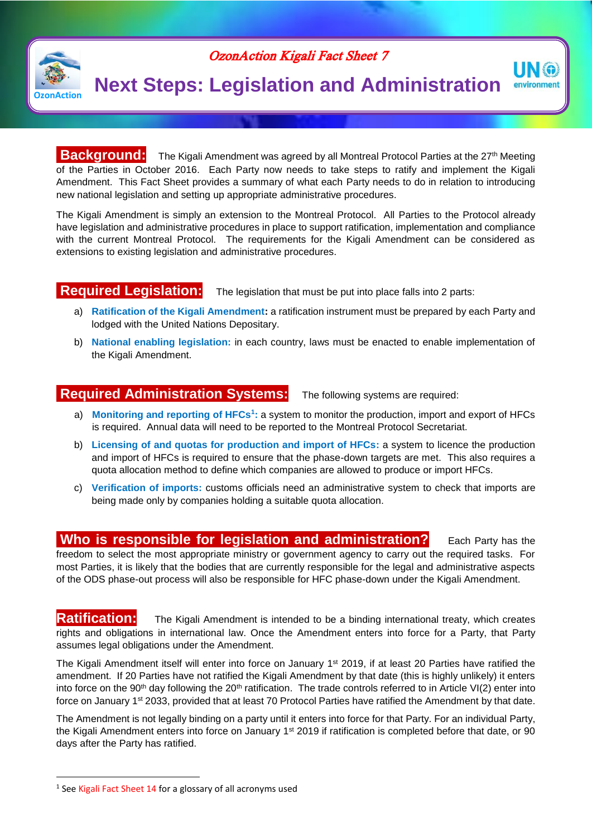

# OzonAction Kigali Fact Sheet 7

# **Next Steps: Legislation and Administration**

**Background:** The Kigali Amendment was agreed by all Montreal Protocol Parties at the 27<sup>th</sup> Meeting of the Parties in October 2016. Each Party now needs to take steps to ratify and implement the Kigali Amendment. This Fact Sheet provides a summary of what each Party needs to do in relation to introducing new national legislation and setting up appropriate administrative procedures.

The Kigali Amendment is simply an extension to the Montreal Protocol. All Parties to the Protocol already have legislation and administrative procedures in place to support ratification, implementation and compliance with the current Montreal Protocol. The requirements for the Kigali Amendment can be considered as extensions to existing legislation and administrative procedures.

# **Required Legislation:** The legislation that must be put into place falls into 2 parts:

- a) **Ratification of the Kigali Amendment:** a ratification instrument must be prepared by each Party and lodged with the United Nations Depositary.
- b) **National enabling legislation:** in each country, laws must be enacted to enable implementation of the Kigali Amendment.

# **Required Administration Systems:** The following systems are required:

UN (a) environment

- a) **Monitoring and reporting of HFCs<sup>1</sup> :** a system to monitor the production, import and export of HFCs is required. Annual data will need to be reported to the Montreal Protocol Secretariat.
- b) **Licensing of and quotas for production and import of HFCs:** a system to licence the production and import of HFCs is required to ensure that the phase-down targets are met. This also requires a quota allocation method to define which companies are allowed to produce or import HFCs.
- c) **Verification of imports:** customs officials need an administrative system to check that imports are being made only by companies holding a suitable quota allocation.

# **Who is responsible for legislation and administration?** Each Party has the

freedom to select the most appropriate ministry or government agency to carry out the required tasks. For most Parties, it is likely that the bodies that are currently responsible for the legal and administrative aspects of the ODS phase-out process will also be responsible for HFC phase-down under the Kigali Amendment.

**Ratification:** The Kigali Amendment is intended to be a binding international treaty, which creates rights and obligations in international law. Once the Amendment enters into force for a Party, that Party assumes legal obligations under the Amendment.

The Kigali Amendment itself will enter into force on January 1<sup>st</sup> 2019, if at least 20 Parties have ratified the amendment. If 20 Parties have not ratified the Kigali Amendment by that date (this is highly unlikely) it enters into force on the 90<sup>th</sup> day following the 20<sup>th</sup> ratification. The trade controls referred to in Article VI(2) enter into force on January 1st 2033, provided that at least 70 Protocol Parties have ratified the Amendment by that date.

The Amendment is not legally binding on a party until it enters into force for that Party. For an individual Party, the Kigali Amendment enters into force on January 1<sup>st</sup> 2019 if ratification is completed before that date, or 90 days after the Party has ratified.

 $\overline{\phantom{a}}$ 

<sup>&</sup>lt;sup>1</sup> See Kigali Fact Sheet 14 for a glossary of all acronyms used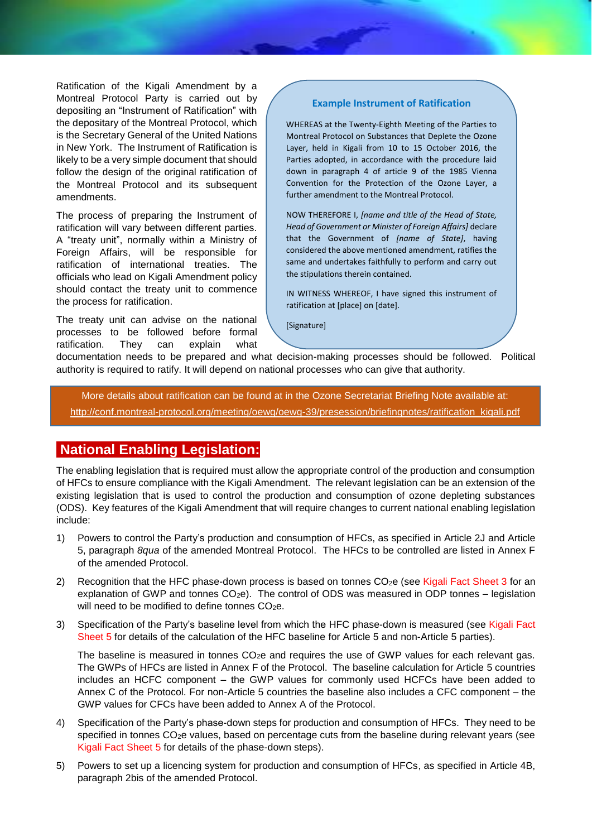Ratification of the Kigali Amendment by a Montreal Protocol Party is carried out by depositing an "Instrument of Ratification" with the depositary of the Montreal Protocol, which is the Secretary General of the United Nations in New York. The Instrument of Ratification is likely to be a very simple document that should follow the design of the original ratification of the Montreal Protocol and its subsequent amendments.

The process of preparing the Instrument of ratification will vary between different parties. A "treaty unit", normally within a Ministry of Foreign Affairs, will be responsible for ratification of international treaties. The officials who lead on Kigali Amendment policy should contact the treaty unit to commence the process for ratification.

The treaty unit can advise on the national processes to be followed before formal ratification. They can explain what

### **Example Instrument of Ratification**

WHEREAS at the Twenty-Eighth Meeting of the Parties to Montreal Protocol on Substances that Deplete the Ozone Layer, held in Kigali from 10 to 15 October 2016, the Parties adopted, in accordance with the procedure laid down in paragraph 4 of article 9 of the 1985 Vienna Convention for the Protection of the Ozone Layer, a further amendment to the Montreal Protocol.

NOW THEREFORE I, *[name and title of the Head of State, Head of Government or Minister of Foreign Affairs]* declare that the Government of *[name of State]*, having considered the above mentioned amendment, ratifies the same and undertakes faithfully to perform and carry out the stipulations therein contained.

IN WITNESS WHEREOF, I have signed this instrument of ratification at [place] on [date].

[Signature]

documentation needs to be prepared and what decision-making processes should be followed. Political authority is required to ratify. It will depend on national processes who can give that authority.

More details about ratification can be found at in the Ozone Secretariat Briefing Note available at: [http://conf.montreal-protocol.org/meeting/oewg/oewg-39/presession/briefingnotes/ratification\\_kigali.pdf](http://conf.montreal-protocol.org/meeting/oewg/oewg-39/presession/briefingnotes/ratification_kigali.pdf)

# **National Enabling Legislation:**

The enabling legislation that is required must allow the appropriate control of the production and consumption of HFCs to ensure compliance with the Kigali Amendment. The relevant legislation can be an extension of the existing legislation that is used to control the production and consumption of ozone depleting substances (ODS). Key features of the Kigali Amendment that will require changes to current national enabling legislation include:

- 1) Powers to control the Party's production and consumption of HFCs, as specified in Article 2J and Article 5, paragraph *8qua* of the amended Montreal Protocol. The HFCs to be controlled are listed in Annex F of the amended Protocol.
- 2) Recognition that the HFC phase-down process is based on tonnes  $CO<sub>2</sub>e$  (see Kigali Fact Sheet 3 for an explanation of GWP and tonnes  $CO<sub>2</sub>e$ ). The control of ODS was measured in ODP tonnes – legislation will need to be modified to define tonnes  $CO<sub>2</sub>e$ .
- 3) Specification of the Party's baseline level from which the HFC phase-down is measured (see Kigali Fact Sheet 5 for details of the calculation of the HFC baseline for Article 5 and non-Article 5 parties).

The baseline is measured in tonnes  $CO<sub>2</sub>e$  and requires the use of GWP values for each relevant gas. The GWPs of HFCs are listed in Annex F of the Protocol. The baseline calculation for Article 5 countries includes an HCFC component – the GWP values for commonly used HCFCs have been added to Annex C of the Protocol. For non-Article 5 countries the baseline also includes a CFC component – the GWP values for CFCs have been added to Annex A of the Protocol.

- 4) Specification of the Party's phase-down steps for production and consumption of HFCs. They need to be specified in tonnes CO<sub>2</sub>e values, based on percentage cuts from the baseline during relevant years (see Kigali Fact Sheet 5 for details of the phase-down steps).
- 5) Powers to set up a licencing system for production and consumption of HFCs, as specified in Article 4B, paragraph 2bis of the amended Protocol.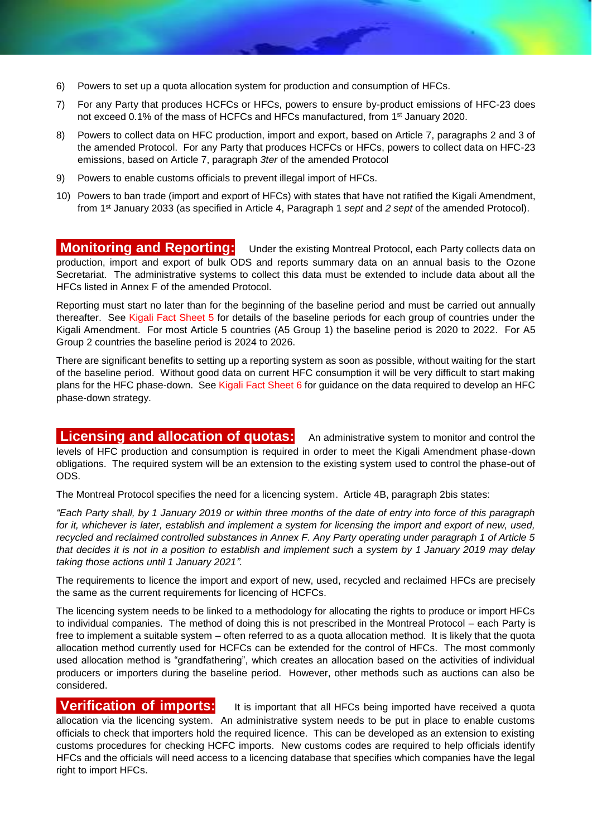- 6) Powers to set up a quota allocation system for production and consumption of HFCs.
- 7) For any Party that produces HCFCs or HFCs, powers to ensure by-product emissions of HFC-23 does not exceed 0.1% of the mass of HCFCs and HFCs manufactured, from 1st January 2020.
- 8) Powers to collect data on HFC production, import and export, based on Article 7, paragraphs 2 and 3 of the amended Protocol. For any Party that produces HCFCs or HFCs, powers to collect data on HFC-23 emissions, based on Article 7, paragraph *3ter* of the amended Protocol
- 9) Powers to enable customs officials to prevent illegal import of HFCs.
- 10) Powers to ban trade (import and export of HFCs) with states that have not ratified the Kigali Amendment, from 1 st January 2033 (as specified in Article 4, Paragraph 1 *sept* and *2 sept* of the amended Protocol).

**Monitoring and Reporting:** Under the existing Montreal Protocol, each Party collects data on production, import and export of bulk ODS and reports summary data on an annual basis to the Ozone Secretariat. The administrative systems to collect this data must be extended to include data about all the HFCs listed in Annex F of the amended Protocol.

Reporting must start no later than for the beginning of the baseline period and must be carried out annually thereafter. See Kigali Fact Sheet 5 for details of the baseline periods for each group of countries under the Kigali Amendment. For most Article 5 countries (A5 Group 1) the baseline period is 2020 to 2022. For A5 Group 2 countries the baseline period is 2024 to 2026.

There are significant benefits to setting up a reporting system as soon as possible, without waiting for the start of the baseline period. Without good data on current HFC consumption it will be very difficult to start making plans for the HFC phase-down. See Kigali Fact Sheet 6 for guidance on the data required to develop an HFC phase-down strategy.

**Licensing and allocation of quotas:** An administrative system to monitor and control the levels of HFC production and consumption is required in order to meet the Kigali Amendment phase-down obligations. The required system will be an extension to the existing system used to control the phase-out of ODS.

The Montreal Protocol specifies the need for a licencing system. Article 4B, paragraph 2bis states:

*"Each Party shall, by 1 January 2019 or within three months of the date of entry into force of this paragraph for it, whichever is later, establish and implement a system for licensing the import and export of new, used, recycled and reclaimed controlled substances in Annex F. Any Party operating under paragraph 1 of Article 5 that decides it is not in a position to establish and implement such a system by 1 January 2019 may delay taking those actions until 1 January 2021".*

The requirements to licence the import and export of new, used, recycled and reclaimed HFCs are precisely the same as the current requirements for licencing of HCFCs.

The licencing system needs to be linked to a methodology for allocating the rights to produce or import HFCs to individual companies. The method of doing this is not prescribed in the Montreal Protocol – each Party is free to implement a suitable system – often referred to as a quota allocation method. It is likely that the quota allocation method currently used for HCFCs can be extended for the control of HFCs. The most commonly used allocation method is "grandfathering", which creates an allocation based on the activities of individual producers or importers during the baseline period. However, other methods such as auctions can also be considered.

**Verification of imports:** It is important that all HFCs being imported have received a quota allocation via the licencing system. An administrative system needs to be put in place to enable customs officials to check that importers hold the required licence. This can be developed as an extension to existing customs procedures for checking HCFC imports. New customs codes are required to help officials identify HFCs and the officials will need access to a licencing database that specifies which companies have the legal right to import HFCs.